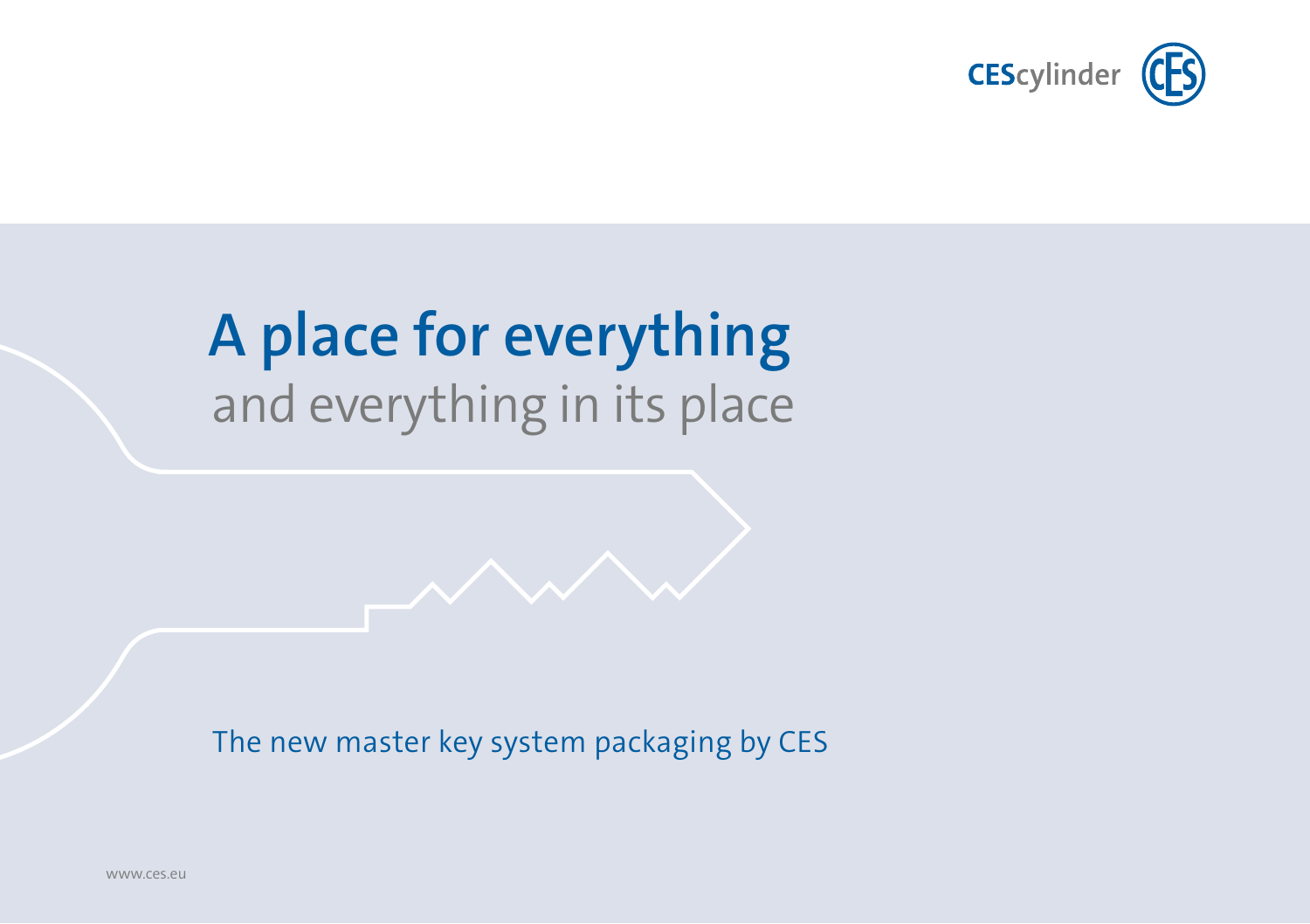

# **A place for everything** and everything in its place

The new master key system packaging by CES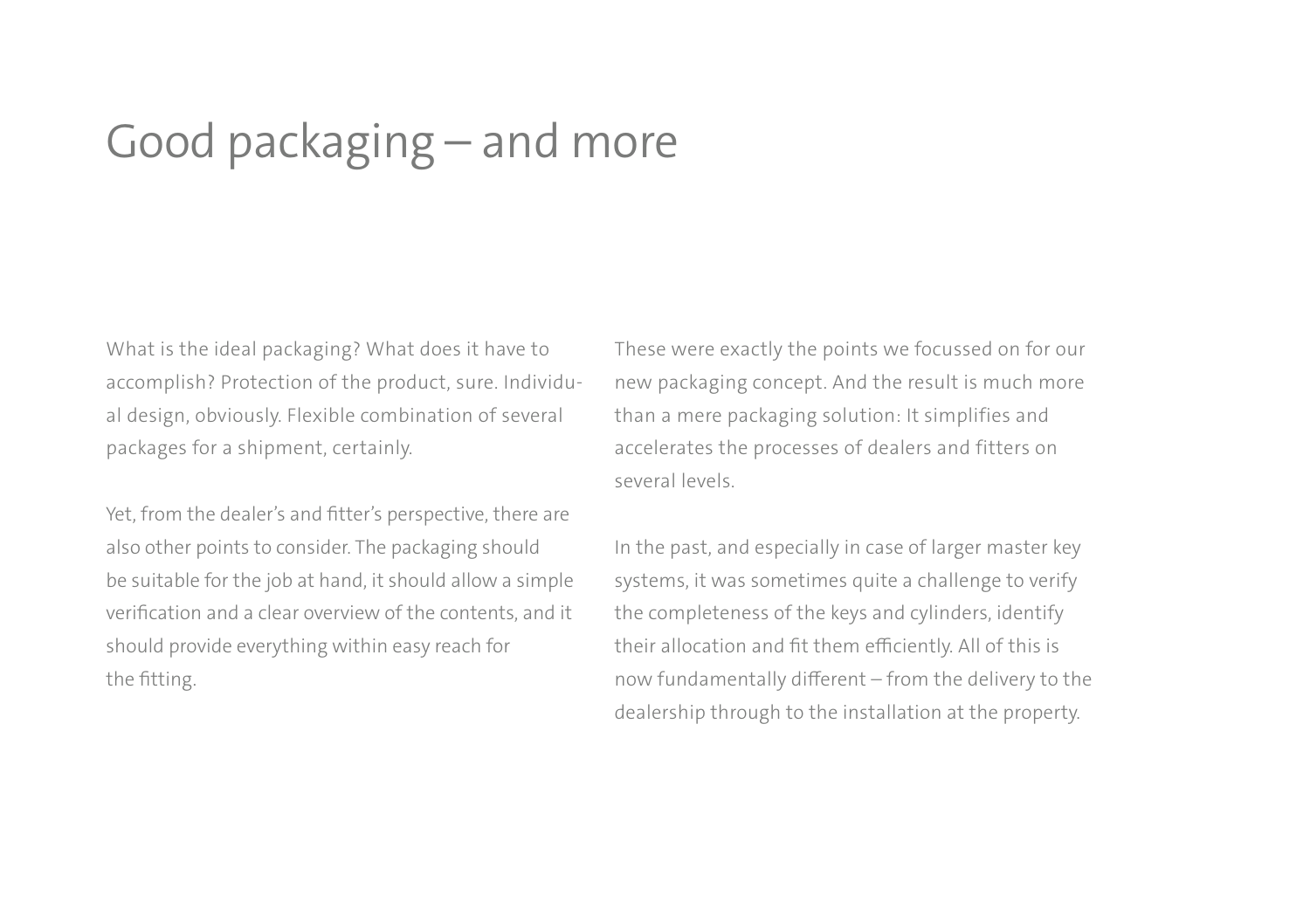### Good packaging – and more

What is the ideal packaging? What does it have to accomplish? Protection of the product, sure. Individual design, obviously. Flexible combination of several packages for a shipment, certainly.

Yet, from the dealer's and fitter's perspective, there are also other points to consider. The packaging should be suitable for the job at hand, it should allow a simple verification and a clear overview of the contents, and it should provide everything within easy reach for the fitting.

These were exactly the points we focussed on for our new packaging concept. And the result is much more than a mere packaging solution: It simplifies and accelerates the processes of dealers and fitters on several levels.

In the past, and especially in case of larger master key systems, it was sometimes quite a challenge to verify the completeness of the keys and cylinders, identify their allocation and fit them efficiently. All of this is now fundamentally different – from the delivery to the dealership through to the installation at the property.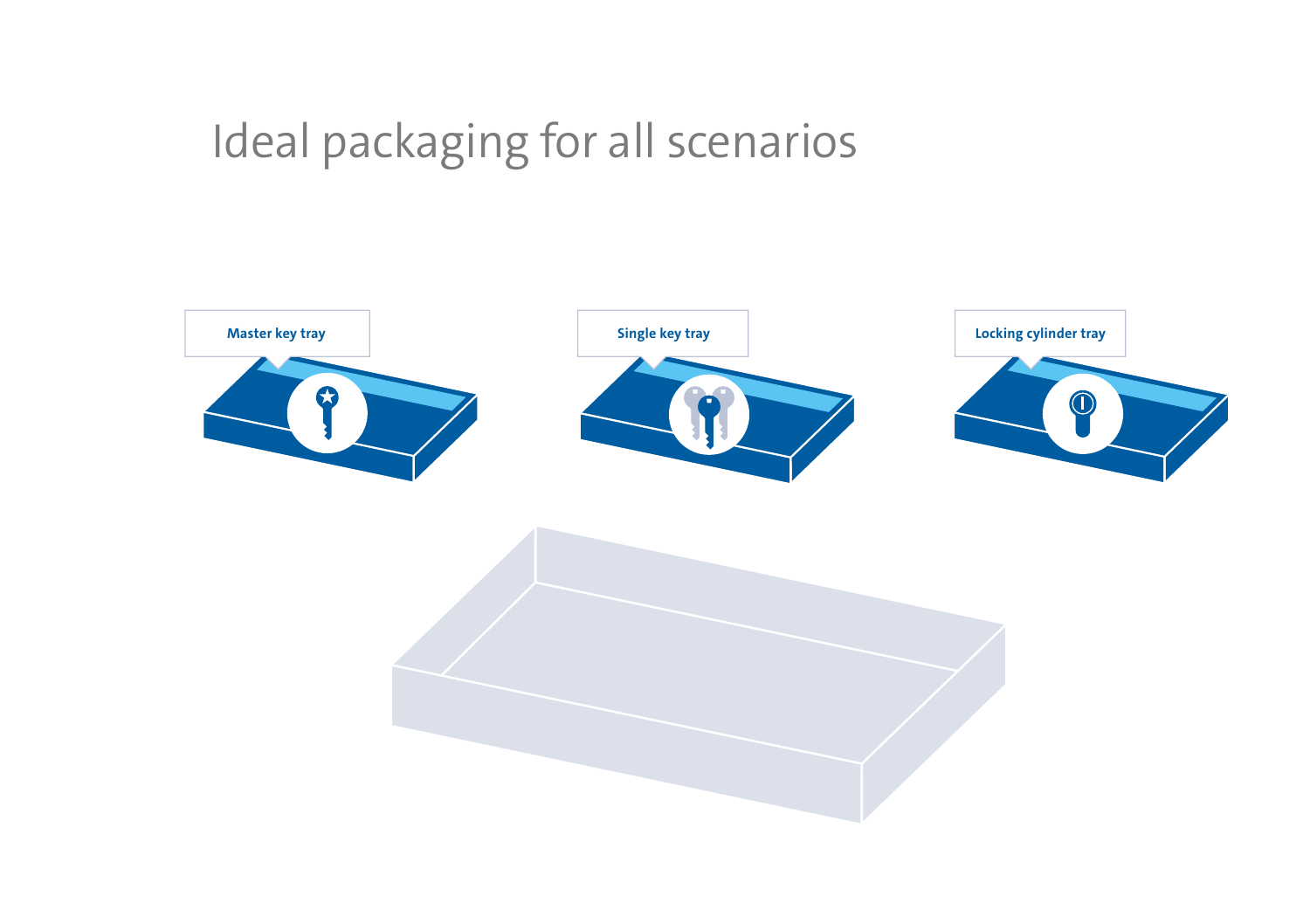## Ideal packaging for all scenarios

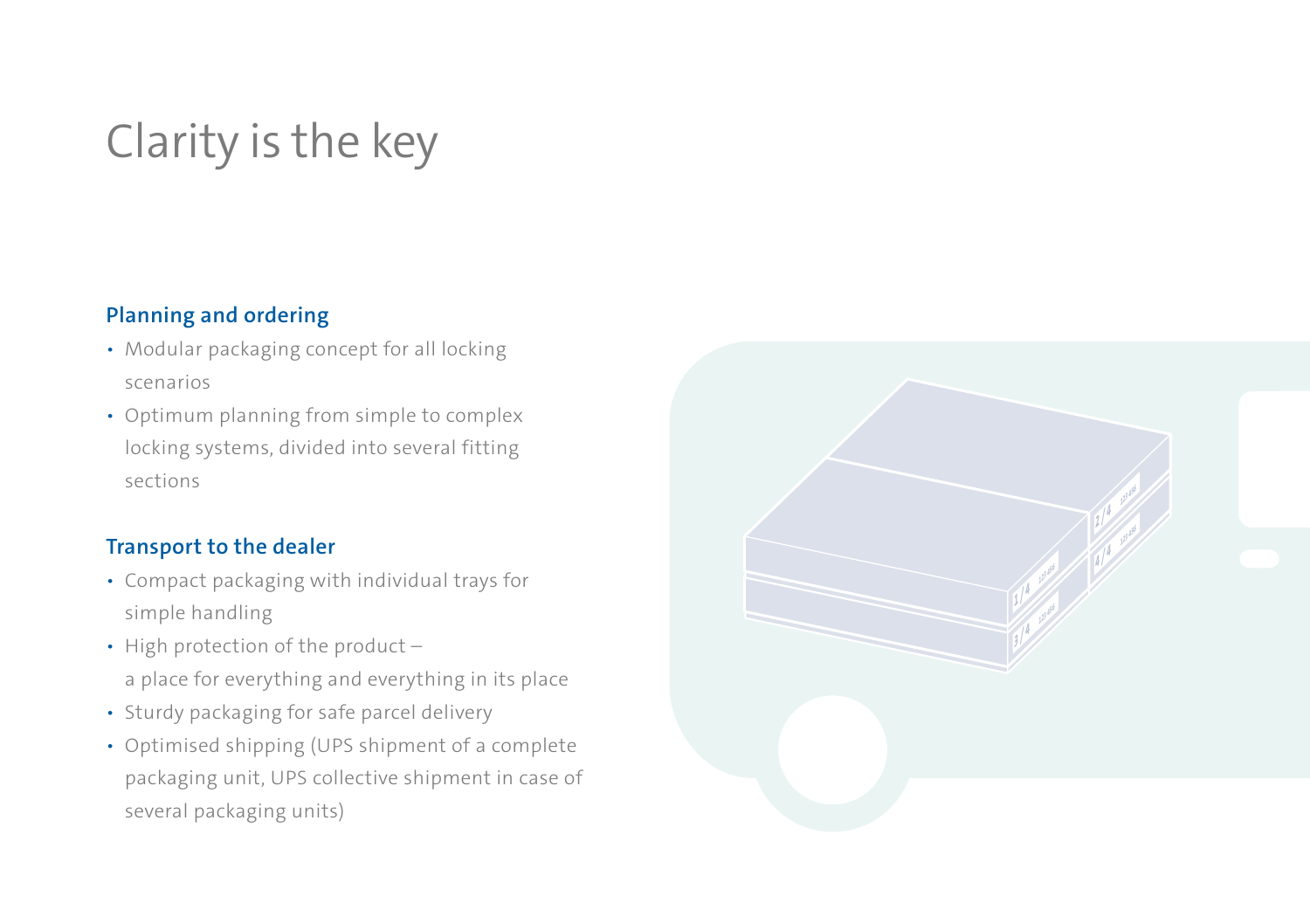## Clarity is the key

#### **Planning and ordering**

- Modular packaging concept for all locking scenarios
- Optimum planning from simple to complex locking systems, divided into several fitting sections

#### **Transport to the dealer**

- Compact packaging with individual trays for simple handling
- High protection of the product a place for everything and everything in its place
- 
- Sturdy packaging for safe parcel delivery Optimised shipping (UPS shipment of a complete packaging unit, UPS collective shipment in case of several packaging units)

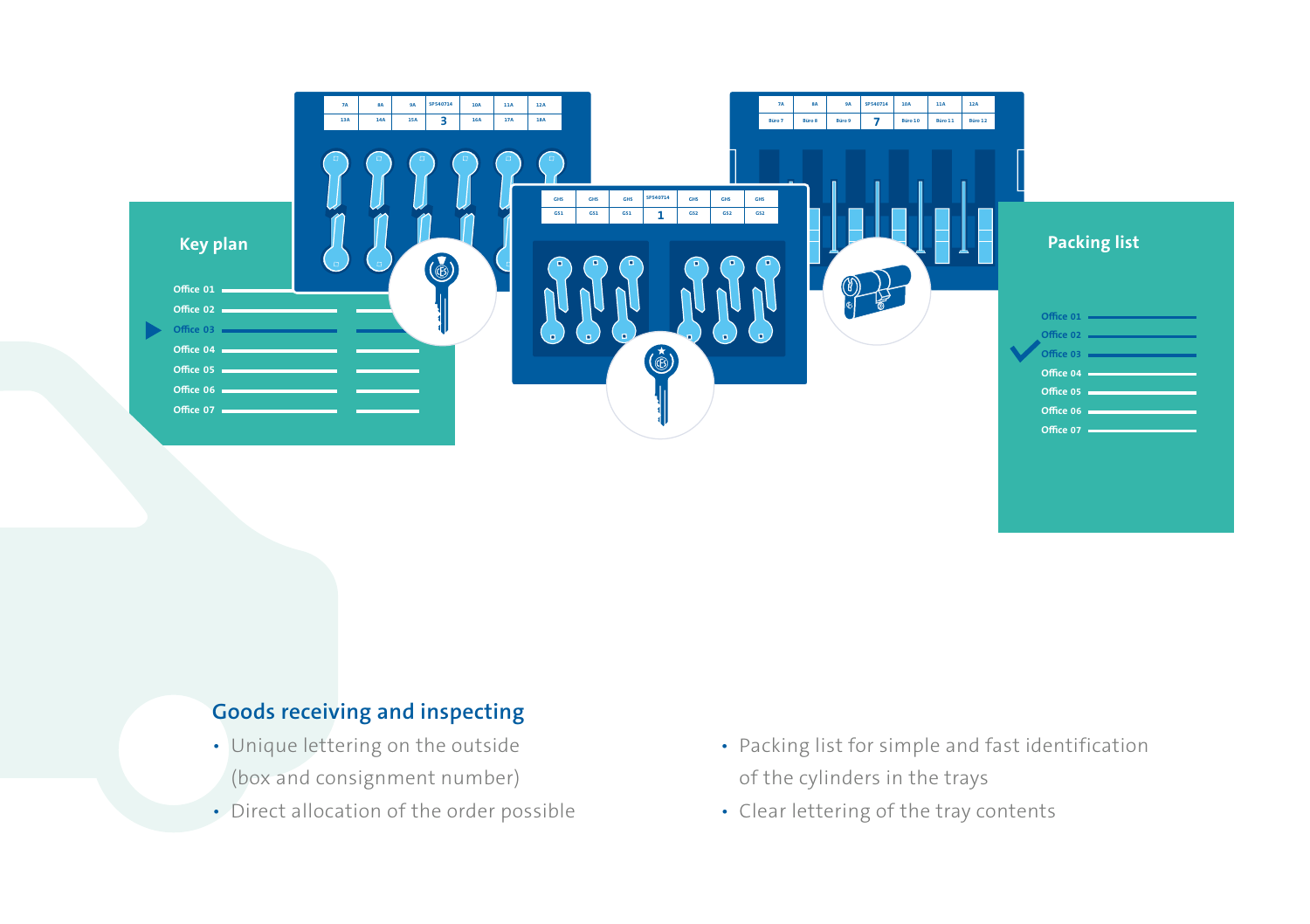

### **Goods receiving and inspecting**

- Unique lettering on the outside (box and consignment number)
- Direct allocation of the order possible
- Packing list for simple and fast identification of the cylinders in the trays
- Clear lettering of the tray contents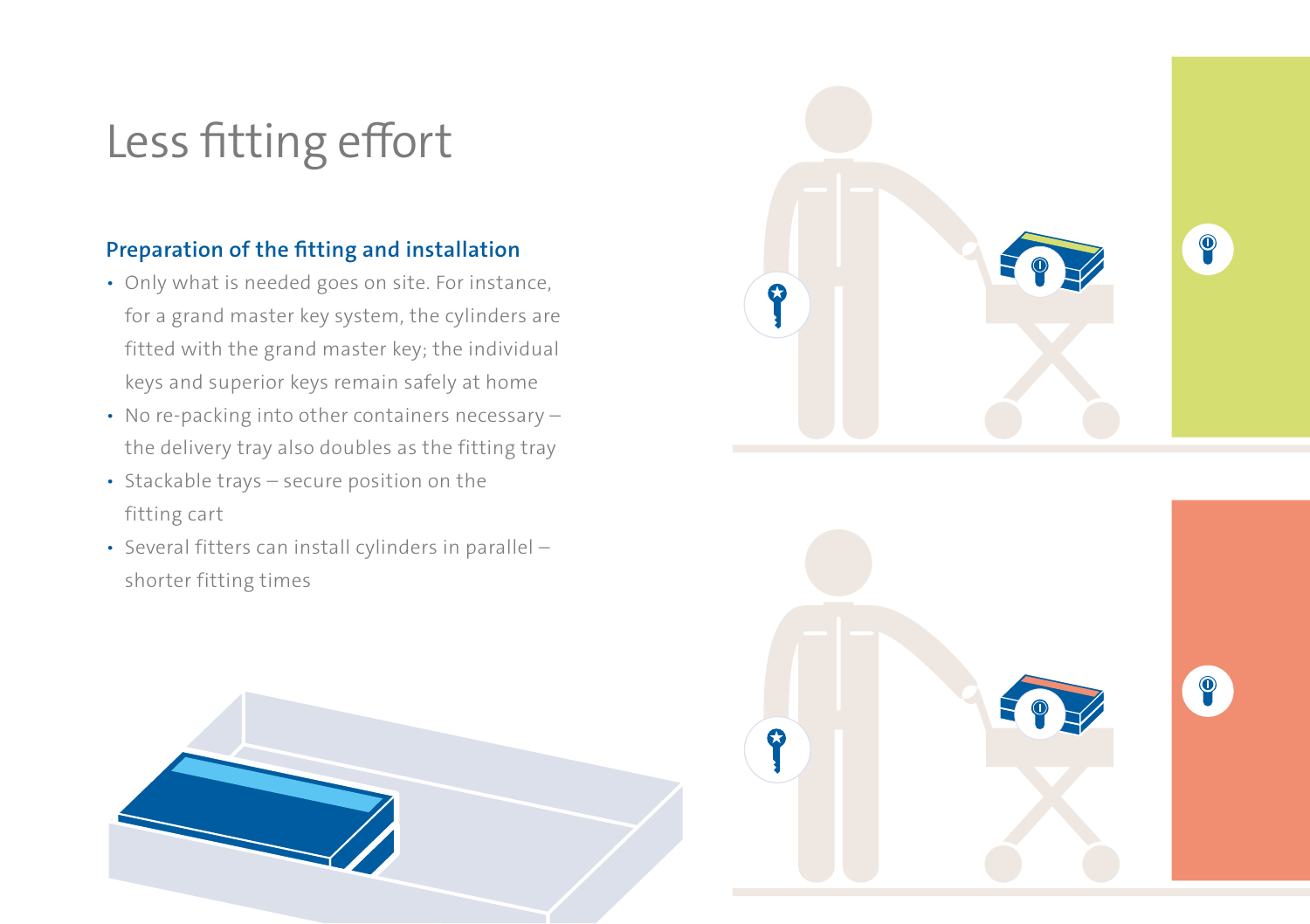### Less fitting effort

### **Preparation of the fitting and installation**

- Only what is needed goes on site. For instance, for a grand master key system, the cylinders are fitted with the grand master key; the individual keys and superior keys remain safely at home
- No re-packing into other containers necessary the delivery tray also doubles as the fitting tray
- Stackable trays secure position on the fitting cart
- Several fitters can install cylinders in parallel shorter fitting times





 $\bullet$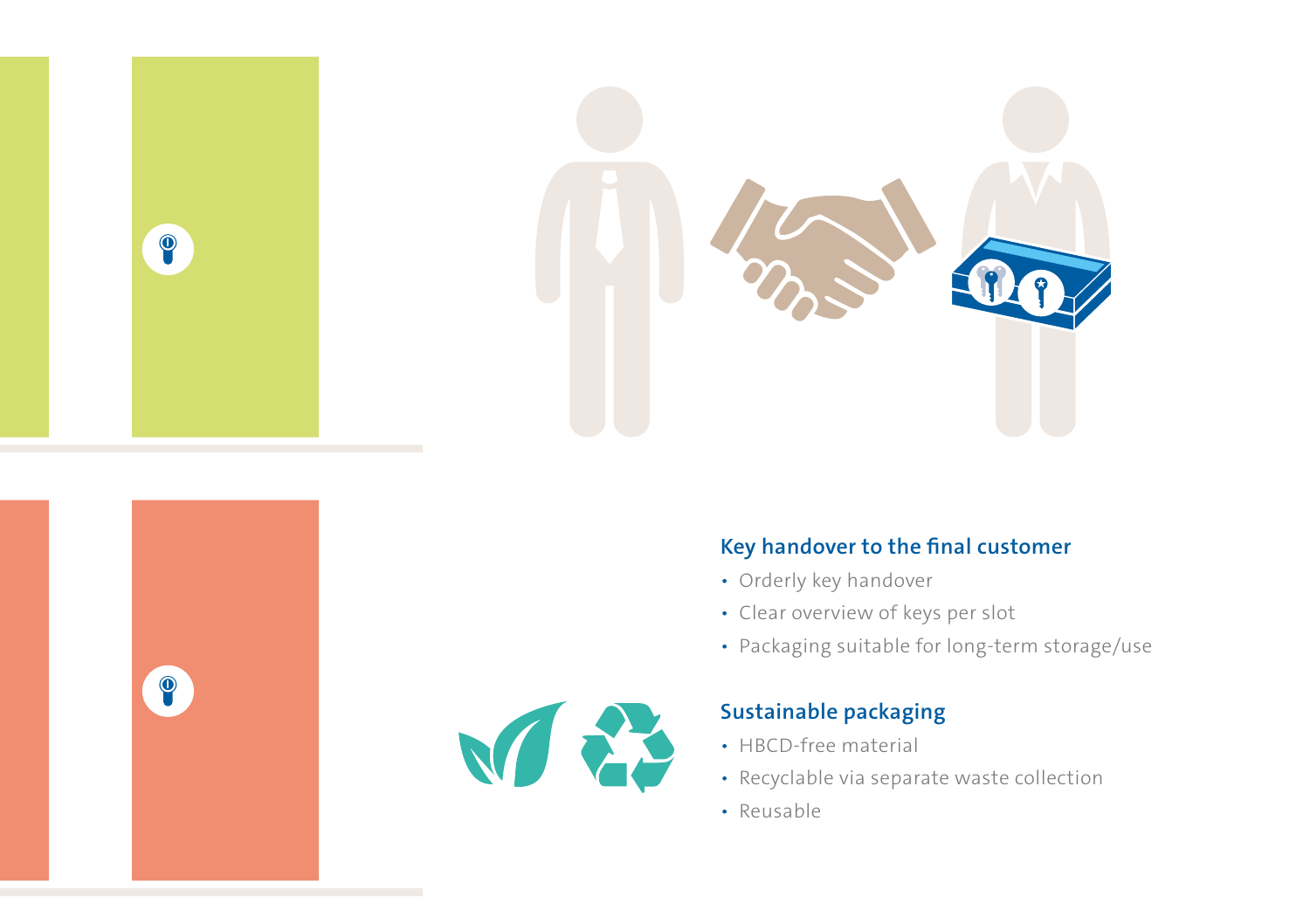

#### **Key handover to the final customer**

- Orderly key handover
- Clear overview of keys per slot
- Packaging suitable for long-term storage/use



 $\bullet$ 

### **Sustainable packaging**

- HBCD-free material
- Recyclable via separate waste collection
- Reusable